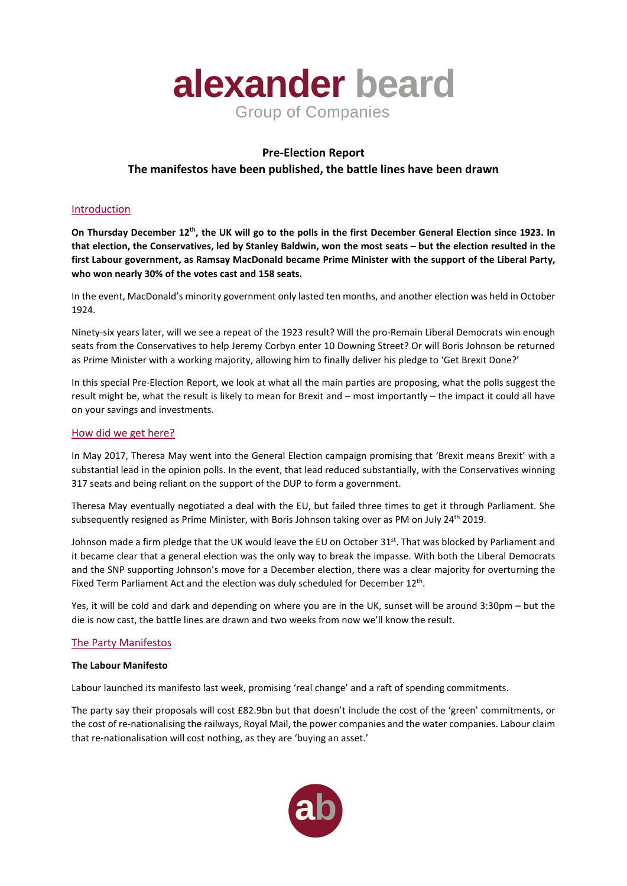

## **Pre-Election Report**

# **The manifestos have been published, the battle lines have been drawn**

## Introduction

**On Thursday December 12th, the UK will go to the polls in the first December General Election since 1923. In that election, the Conservatives, led by Stanley Baldwin, won the most seats – but the election resulted in the first Labour government, as Ramsay MacDonald became Prime Minister with the support of the Liberal Party, who won nearly 30% of the votes cast and 158 seats.** 

In the event, MacDonald's minority government only lasted ten months, and another election was held in October 1924.

Ninety-six years later, will we see a repeat of the 1923 result? Will the pro-Remain Liberal Democrats win enough seats from the Conservatives to help Jeremy Corbyn enter 10 Downing Street? Or will Boris Johnson be returned as Prime Minister with a working majority, allowing him to finally deliver his pledge to 'Get Brexit Done?'

In this special Pre-Election Report, we look at what all the main parties are proposing, what the polls suggest the result might be, what the result is likely to mean for Brexit and – most importantly – the impact it could all have on your savings and investments.

#### How did we get here?

In May 2017, Theresa May went into the General Election campaign promising that 'Brexit means Brexit' with a substantial lead in the opinion polls. In the event, that lead reduced substantially, with the Conservatives winning 317 seats and being reliant on the support of the DUP to form a government.

Theresa May eventually negotiated a deal with the EU, but failed three times to get it through Parliament. She subsequently resigned as Prime Minister, with Boris Johnson taking over as PM on July 24<sup>th</sup> 2019.

Johnson made a firm pledge that the UK would leave the EU on October 31<sup>st</sup>. That was blocked by Parliament and it became clear that a general election was the only way to break the impasse. With both the Liberal Democrats and the SNP supporting Johnson's move for a December election, there was a clear majority for overturning the Fixed Term Parliament Act and the election was duly scheduled for December 12<sup>th</sup>.

Yes, it will be cold and dark and depending on where you are in the UK, sunset will be around 3:30pm – but the die is now cast, the battle lines are drawn and two weeks from now we'll know the result.

#### The Party Manifestos

#### **The Labour Manifesto**

Labour launched its manifesto last week, promising 'real change' and a raft of spending commitments.

The party say their proposals will cost £82.9bn but that doesn't include the cost of the 'green' commitments, or the cost of re-nationalising the railways, Royal Mail, the power companies and the water companies. Labour claim that re-nationalisation will cost nothing, as they are 'buying an asset.'

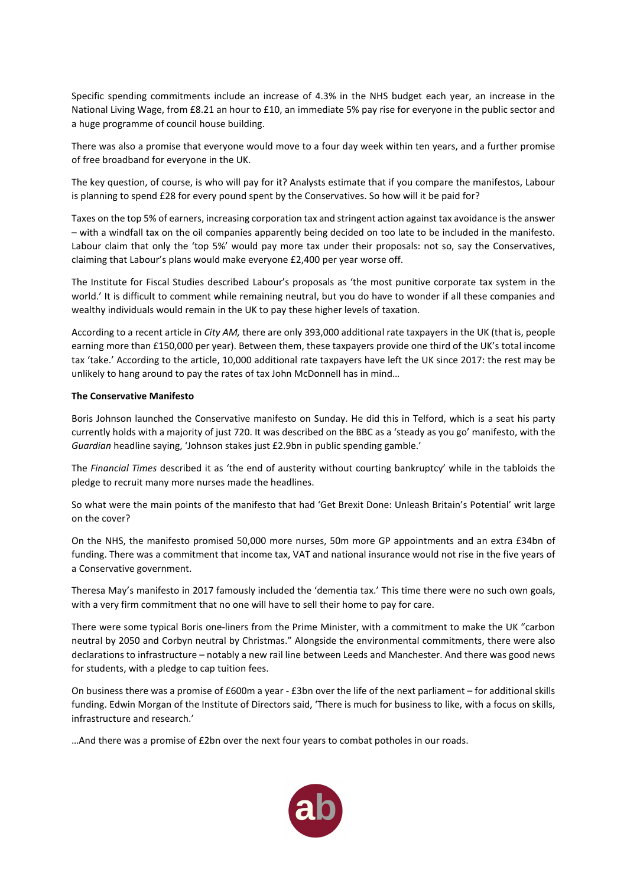Specific spending commitments include an increase of 4.3% in the NHS budget each year, an increase in the National Living Wage, from £8.21 an hour to £10, an immediate 5% pay rise for everyone in the public sector and a huge programme of council house building.

There was also a promise that everyone would move to a four day week within ten years, and a further promise of free broadband for everyone in the UK.

The key question, of course, is who will pay for it? Analysts estimate that if you compare the manifestos, Labour is planning to spend £28 for every pound spent by the Conservatives. So how will it be paid for?

Taxes on the top 5% of earners, increasing corporation tax and stringent action against tax avoidance is the answer – with a windfall tax on the oil companies apparently being decided on too late to be included in the manifesto. Labour claim that only the 'top 5%' would pay more tax under their proposals: not so, say the Conservatives, claiming that Labour's plans would make everyone £2,400 per year worse off.

The Institute for Fiscal Studies described Labour's proposals as 'the most punitive corporate tax system in the world.' It is difficult to comment while remaining neutral, but you do have to wonder if all these companies and wealthy individuals would remain in the UK to pay these higher levels of taxation.

According to a recent article in *City AM,* there are only 393,000 additional rate taxpayers in the UK (that is, people earning more than £150,000 per year). Between them, these taxpayers provide one third of the UK's total income tax 'take.' According to the article, 10,000 additional rate taxpayers have left the UK since 2017: the rest may be unlikely to hang around to pay the rates of tax John McDonnell has in mind…

#### **The Conservative Manifesto**

Boris Johnson launched the Conservative manifesto on Sunday. He did this in Telford, which is a seat his party currently holds with a majority of just 720. It was described on the BBC as a 'steady as you go' manifesto, with the *Guardian* headline saying, 'Johnson stakes just £2.9bn in public spending gamble.'

The *Financial Times* described it as 'the end of austerity without courting bankruptcy' while in the tabloids the pledge to recruit many more nurses made the headlines.

So what were the main points of the manifesto that had 'Get Brexit Done: Unleash Britain's Potential' writ large on the cover?

On the NHS, the manifesto promised 50,000 more nurses, 50m more GP appointments and an extra £34bn of funding. There was a commitment that income tax, VAT and national insurance would not rise in the five years of a Conservative government.

Theresa May's manifesto in 2017 famously included the 'dementia tax.' This time there were no such own goals, with a very firm commitment that no one will have to sell their home to pay for care.

There were some typical Boris one-liners from the Prime Minister, with a commitment to make the UK "carbon neutral by 2050 and Corbyn neutral by Christmas." Alongside the environmental commitments, there were also declarations to infrastructure – notably a new rail line between Leeds and Manchester. And there was good news for students, with a pledge to cap tuition fees.

On business there was a promise of £600m a year - £3bn over the life of the next parliament – for additional skills funding. Edwin Morgan of the Institute of Directors said, 'There is much for business to like, with a focus on skills, infrastructure and research.'

…And there was a promise of £2bn over the next four years to combat potholes in our roads.

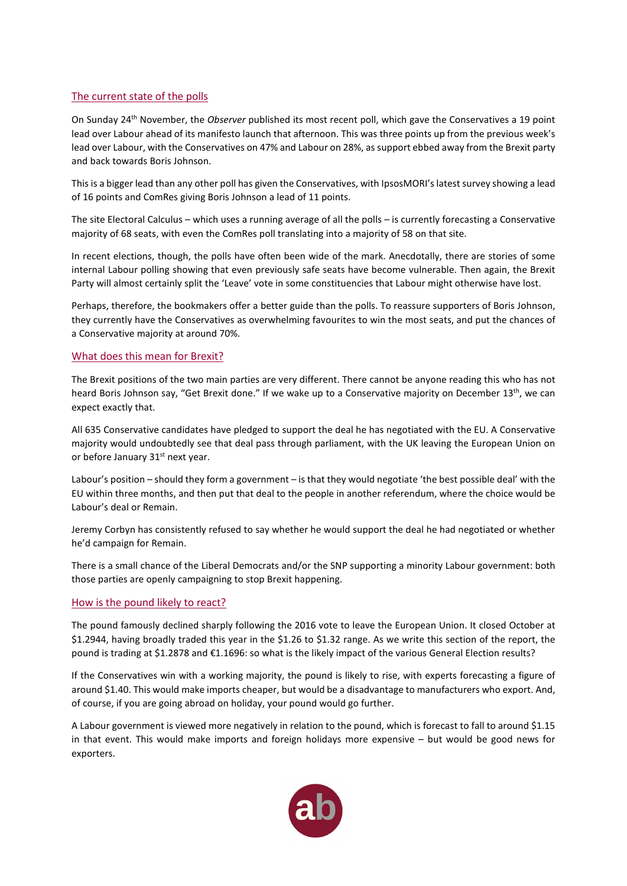## The current state of the polls

On Sunday 24th November, the *Observer* published its most recent poll, which gave the Conservatives a 19 point lead over Labour ahead of its manifesto launch that afternoon. This was three points up from the previous week's lead over Labour, with the Conservatives on 47% and Labour on 28%, as support ebbed away from the Brexit party and back towards Boris Johnson.

This is a bigger lead than any other poll has given the Conservatives, with IpsosMORI's latest survey showing a lead of 16 points and ComRes giving Boris Johnson a lead of 11 points.

The site Electoral Calculus – which uses a running average of all the polls – is currently forecasting a Conservative majority of 68 seats, with even the ComRes poll translating into a majority of 58 on that site.

In recent elections, though, the polls have often been wide of the mark. Anecdotally, there are stories of some internal Labour polling showing that even previously safe seats have become vulnerable. Then again, the Brexit Party will almost certainly split the 'Leave' vote in some constituencies that Labour might otherwise have lost.

Perhaps, therefore, the bookmakers offer a better guide than the polls. To reassure supporters of Boris Johnson, they currently have the Conservatives as overwhelming favourites to win the most seats, and put the chances of a Conservative majority at around 70%.

#### What does this mean for Brexit?

The Brexit positions of the two main parties are very different. There cannot be anyone reading this who has not heard Boris Johnson say, "Get Brexit done." If we wake up to a Conservative majority on December 13<sup>th</sup>, we can expect exactly that.

All 635 Conservative candidates have pledged to support the deal he has negotiated with the EU. A Conservative majority would undoubtedly see that deal pass through parliament, with the UK leaving the European Union on or before January 31<sup>st</sup> next year.

Labour's position – should they form a government – is that they would negotiate 'the best possible deal' with the EU within three months, and then put that deal to the people in another referendum, where the choice would be Labour's deal or Remain.

Jeremy Corbyn has consistently refused to say whether he would support the deal he had negotiated or whether he'd campaign for Remain.

There is a small chance of the Liberal Democrats and/or the SNP supporting a minority Labour government: both those parties are openly campaigning to stop Brexit happening.

#### How is the pound likely to react?

The pound famously declined sharply following the 2016 vote to leave the European Union. It closed October at \$1.2944, having broadly traded this year in the \$1.26 to \$1.32 range. As we write this section of the report, the pound is trading at \$1.2878 and €1.1696: so what is the likely impact of the various General Election results?

If the Conservatives win with a working majority, the pound is likely to rise, with experts forecasting a figure of around \$1.40. This would make imports cheaper, but would be a disadvantage to manufacturers who export. And, of course, if you are going abroad on holiday, your pound would go further.

A Labour government is viewed more negatively in relation to the pound, which is forecast to fall to around \$1.15 in that event. This would make imports and foreign holidays more expensive – but would be good news for exporters.